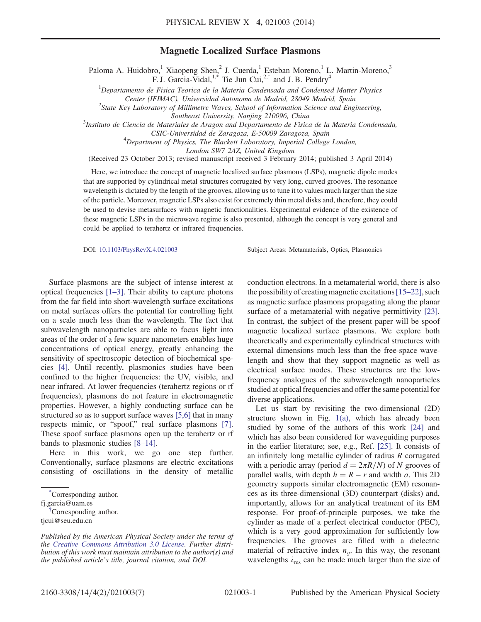## Magnetic Localized Surface Plasmons

Paloma A. Huidobro,<sup>1</sup> Xiaopeng Shen,<sup>2</sup> J. Cuerda,<sup>1</sup> Esteban Moreno,<sup>1</sup> L. Martin-Moreno,<sup>3</sup> F. J. Garcia-Vidal,<sup>1,\*</sup> Tie Jun Cui,<sup>2,†</sup> and J. B. Pendry<sup>4</sup>

 ${}^{1}$ Departamento de Fisica Teorica de la Materia Condensada and Condensed Matter Physics

Center (IFIMAC), Universidad Autonoma de Madrid, 28049 Madrid, Spain <sup>2</sup>

 $^{2}$ State Key Laboratory of Millimetre Waves, School of Information Science and Engineering,

Southeast University, Nanjing 210096, China<br><sup>3</sup>Instituto de Ciencia de Materiales de Aragon and Departamento de Fisica de la Materia Condensada,

CSIC-Universidad de Zaragoza, E-50009 Zaragoza, Spain <sup>4</sup>

 ${}^{4}$ Department of Physics, The Blackett Laboratory, Imperial College London,

London SW7 2AZ, United Kingdom

(Received 23 October 2013; revised manuscript received 3 February 2014; published 3 April 2014)

Here, we introduce the concept of magnetic localized surface plasmons (LSPs), magnetic dipole modes that are supported by cylindrical metal structures corrugated by very long, curved grooves. The resonance wavelength is dictated by the length of the grooves, allowing us to tune it to values much larger than the size of the particle. Moreover, magnetic LSPs also exist for extremely thin metal disks and, therefore, they could be used to devise metasurfaces with magnetic functionalities. Experimental evidence of the existence of these magnetic LSPs in the microwave regime is also presented, although the concept is very general and could be applied to terahertz or infrared frequencies.

DOI: [10.1103/PhysRevX.4.021003](http://dx.doi.org/10.1103/PhysRevX.4.021003) Subject Areas: Metamaterials, Optics, Plasmonics

Surface plasmons are the subject of intense interest at optical frequencies  $[1-3]$  $[1-3]$ . Their ability to capture photons from the far field into short-wavelength surface excitations on metal surfaces offers the potential for controlling light on a scale much less than the wavelength. The fact that subwavelength nanoparticles are able to focus light into areas of the order of a few square nanometers enables huge concentrations of optical energy, greatly enhancing the sensitivity of spectroscopic detection of biochemical species [\[4\]](#page-5-1). Until recently, plasmonics studies have been confined to the higher frequencies: the UV, visible, and near infrared. At lower frequencies (terahertz regions or rf frequencies), plasmons do not feature in electromagnetic properties. However, a highly conducting surface can be structured so as to support surface waves [\[5,6\]](#page-5-2) that in many respects mimic, or "spoof," real surface plasmons [\[7\]](#page-5-3). These spoof surface plasmons open up the terahertz or rf bands to plasmonic studies [8–[14\]](#page-5-4).

Here in this work, we go one step further. Conventionally, surface plasmons are electric excitations consisting of oscillations in the density of metallic

\* Corresponding author.

conduction electrons. In a metamaterial world, there is also the possibility of creating magnetic excitations  $[15–22]$ , such as magnetic surface plasmons propagating along the planar surface of a metamaterial with negative permittivity [\[23\]](#page-5-6). In contrast, the subject of the present paper will be spoof magnetic localized surface plasmons. We explore both theoretically and experimentally cylindrical structures with external dimensions much less than the free-space wavelength and show that they support magnetic as well as electrical surface modes. These structures are the lowfrequency analogues of the subwavelength nanoparticles studied at optical frequencies and offer the same potential for diverse applications.

Let us start by revisiting the two-dimensional (2D) structure shown in Fig. [1\(a\),](#page-1-0) which has already been studied by some of the authors of this work [\[24\]](#page-5-7) and which has also been considered for waveguiding purposes in the earlier literature; see, e.g., Ref. [\[25\].](#page-5-8) It consists of an infinitely long metallic cylinder of radius R corrugated with a periodic array (period  $d = 2\pi R/N$ ) of N grooves of parallel walls, with depth  $h = R - r$  and width a. This 2D geometry supports similar electromagnetic (EM) resonances as its three-dimensional (3D) counterpart (disks) and, importantly, allows for an analytical treatment of its EM response. For proof-of-principle purposes, we take the cylinder as made of a perfect electrical conductor (PEC), which is a very good approximation for sufficiently low frequencies. The grooves are filled with a dielectric material of refractive index  $n_a$ . In this way, the resonant wavelengths  $\lambda_{res}$  can be made much larger than the size of

fj.garcia@uam.es

<sup>†</sup> Corresponding author.

tjcui@seu.edu.cn

Published by the American Physical Society under the terms of the [Creative Commons Attribution 3.0 License.](http://creativecommons.org/licenses/by/3.0/) Further distribution of this work must maintain attribution to the author(s) and the published article's title, journal citation, and DOI.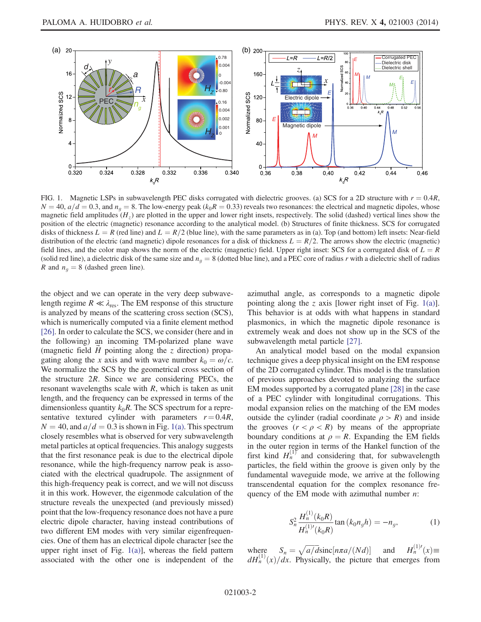<span id="page-1-0"></span>

FIG. 1. Magnetic LSPs in subwavelength PEC disks corrugated with dielectric grooves. (a) SCS for a 2D structure with  $r = 0.4R$ ,  $N = 40$ ,  $a/d = 0.3$ , and  $n<sub>a</sub> = 8$ . The low-energy peak ( $k<sub>0</sub>R = 0.33$ ) reveals two resonances: the electrical and magnetic dipoles, whose magnetic field amplitudes  $(H<sub>z</sub>)$  are plotted in the upper and lower right insets, respectively. The solid (dashed) vertical lines show the position of the electric (magnetic) resonance according to the analytical model. (b) Structures of finite thickness. SCS for corrugated disks of thickness  $L = R$  (red line) and  $L = R/2$  (blue line), with the same parameters as in (a). Top (and bottom) left insets: Near-field distribution of the electric (and magnetic) dipole resonances for a disk of thickness  $L = R/2$ . The arrows show the electric (magnetic) field lines, and the color map shows the norm of the electric (magnetic) field. Upper right inset: SCS for a corrugated disk of  $L = R$ (solid red line), a dielectric disk of the same size and  $n_q = 8$  (dotted blue line), and a PEC core of radius r with a dielectric shell of radius R and  $n_q = 8$  (dashed green line).

the object and we can operate in the very deep subwavelength regime  $R \ll \lambda_{\text{res}}$ . The EM response of this structure is analyzed by means of the scattering cross section (SCS), which is numerically computed via a finite element method [\[26\]](#page-5-9). In order to calculate the SCS, we consider (here and in the following) an incoming TM-polarized plane wave (magnetic field  $H$  pointing along the z direction) propagating along the x axis and with wave number  $k_0 = \omega/c$ . We normalize the SCS by the geometrical cross section of the structure  $2R$ . Since we are considering PECs, the resonant wavelengths scale with  $R$ , which is taken as unit length, and the frequency can be expressed in terms of the dimensionless quantity  $k_0R$ . The SCS spectrum for a representative textured cylinder with parameters  $r = 0.4R$ ,  $N = 40$ , and  $a/d = 0.3$  is shown in Fig. [1\(a\)](#page-1-0). This spectrum closely resembles what is observed for very subwavelength metal particles at optical frequencies. This analogy suggests that the first resonance peak is due to the electrical dipole resonance, while the high-frequency narrow peak is associated with the electrical quadrupole. The assignment of this high-frequency peak is correct, and we will not discuss it in this work. However, the eigenmode calculation of the structure reveals the unexpected (and previously missed) point that the low-frequency resonance does not have a pure electric dipole character, having instead contributions of two different EM modes with very similar eigenfrequencies. One of them has an electrical dipole character [see the upper right inset of Fig.  $1(a)$ ], whereas the field pattern associated with the other one is independent of the azimuthal angle, as corresponds to a magnetic dipole pointing along the z axis [lower right inset of Fig. [1\(a\)](#page-1-0)]. This behavior is at odds with what happens in standard plasmonics, in which the magnetic dipole resonance is extremely weak and does not show up in the SCS of the subwavelength metal particle [\[27\].](#page-5-10)

An analytical model based on the modal expansion technique gives a deep physical insight on the EM response of the 2D corrugated cylinder. This model is the translation of previous approaches devoted to analyzing the surface EM modes supported by a corrugated plane [\[28\]](#page-5-11) in the case of a PEC cylinder with longitudinal corrugations. This modal expansion relies on the matching of the EM modes outside the cylinder (radial coordinate  $\rho > R$ ) and inside the grooves  $(r < \rho < R)$  by means of the appropriate boundary conditions at  $\rho = R$ . Expanding the EM fields in the outer region in terms of the Hankel function of the first kind  $H_n^{(1)}$  and considering that, for subwavelength particles, the field within the groove is given only by the fundamental waveguide mode, we arrive at the following transcendental equation for the complex resonance frequency of the EM mode with azimuthal number  $n$ :

<span id="page-1-1"></span>
$$
S_n^2 \frac{H_n^{(1)}(k_0 R)}{H_n^{(1) \prime}(k_0 R)} \tan(k_0 n_g h) = -n_g,
$$
 (1)

where  $S_n = \sqrt{\frac{a}{d}} \sin\left[\frac{n\pi a}{N d}\right]$  and  $H_n^{(1)}$  $H_n^{(1)'}(x) \equiv$  $dH_n^{(1)}(x)/dx$ . Physically, the picture that emerges from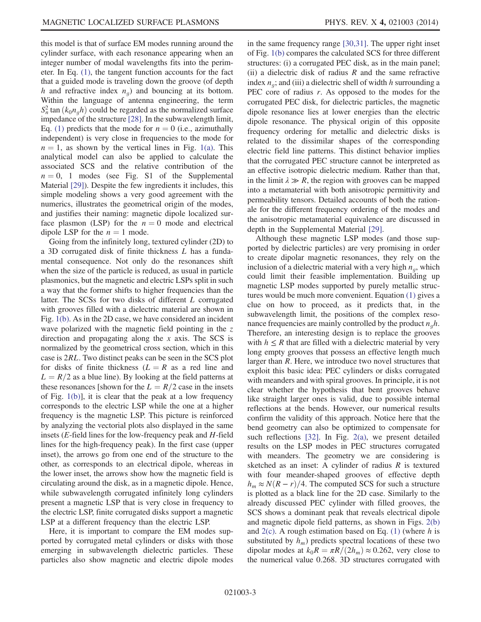this model is that of surface EM modes running around the cylinder surface, with each resonance appearing when an integer number of modal wavelengths fits into the perimeter. In Eq. [\(1\)](#page-1-1), the tangent function accounts for the fact that a guided mode is traveling down the groove (of depth h and refractive index  $n_q$ ) and bouncing at its bottom. Within the language of antenna engineering, the term  $S_n^2$  tan  $(k_0 n_g h)$  could be regarded as the normalized surface impedance of the structure [\[28\]](#page-5-11). In the subwavelength limit, Eq. [\(1\)](#page-1-1) predicts that the mode for  $n = 0$  (i.e., azimuthally independent) is very close in frequencies to the mode for  $n = 1$ , as shown by the vertical lines in Fig. [1\(a\)](#page-1-0). This analytical model can also be applied to calculate the associated SCS and the relative contribution of the  $n = 0$ , 1 modes (see Fig. S1 of the Supplemental Material [\[29\]](#page-5-12)). Despite the few ingredients it includes, this simple modeling shows a very good agreement with the numerics, illustrates the geometrical origin of the modes, and justifies their naming: magnetic dipole localized surface plasmon (LSP) for the  $n = 0$  mode and electrical dipole LSP for the  $n = 1$  mode.

Going from the infinitely long, textured cylinder (2D) to a 3D corrugated disk of finite thickness L has a fundamental consequence. Not only do the resonances shift when the size of the particle is reduced, as usual in particle plasmonics, but the magnetic and electric LSPs split in such a way that the former shifts to higher frequencies than the latter. The SCSs for two disks of different L corrugated with grooves filled with a dielectric material are shown in Fig. [1\(b\).](#page-1-0) As in the 2D case, we have considered an incident wave polarized with the magnetic field pointing in the  $z$ direction and propagating along the  $x$  axis. The SCS is normalized by the geometrical cross section, which in this case is 2RL. Two distinct peaks can be seen in the SCS plot for disks of finite thickness  $(L = R$  as a red line and  $L = R/2$  as a blue line). By looking at the field patterns at these resonances [shown for the  $L = R/2$  case in the insets of Fig. [1\(b\)](#page-1-0)], it is clear that the peak at a low frequency corresponds to the electric LSP while the one at a higher frequency is the magnetic LSP. This picture is reinforced by analyzing the vectorial plots also displayed in the same insets (E-field lines for the low-frequency peak and H-field lines for the high-frequency peak). In the first case (upper inset), the arrows go from one end of the structure to the other, as corresponds to an electrical dipole, whereas in the lower inset, the arrows show how the magnetic field is circulating around the disk, as in a magnetic dipole. Hence, while subwavelength corrugated infinitely long cylinders present a magnetic LSP that is very close in frequency to the electric LSP, finite corrugated disks support a magnetic LSP at a different frequency than the electric LSP.

Here, it is important to compare the EM modes supported by corrugated metal cylinders or disks with those emerging in subwavelength dielectric particles. These particles also show magnetic and electric dipole modes in the same frequency range [\[30,31\].](#page-5-13) The upper right inset of Fig. [1\(b\)](#page-1-0) compares the calculated SCS for three different structures: (i) a corrugated PEC disk, as in the main panel; (ii) a dielectric disk of radius  $R$  and the same refractive index  $n_a$ ; and (iii) a dielectric shell of width h surrounding a PEC core of radius  $r$ . As opposed to the modes for the corrugated PEC disk, for dielectric particles, the magnetic dipole resonance lies at lower energies than the electric dipole resonance. The physical origin of this opposite frequency ordering for metallic and dielectric disks is related to the dissimilar shapes of the corresponding electric field line patterns. This distinct behavior implies that the corrugated PEC structure cannot be interpreted as an effective isotropic dielectric medium. Rather than that, in the limit  $\lambda \gg R$ , the region with grooves can be mapped into a metamaterial with both anisotropic permittivity and permeability tensors. Detailed accounts of both the rationale for the different frequency ordering of the modes and the anisotropic metamaterial equivalence are discussed in depth in the Supplemental Material [\[29\].](#page-5-12)

Although these magnetic LSP modes (and those supported by dielectric particles) are very promising in order to create dipolar magnetic resonances, they rely on the inclusion of a dielectric material with a very high  $n_q$ , which could limit their feasible implementation. Building up magnetic LSP modes supported by purely metallic structures would be much more convenient. Equation [\(1\)](#page-1-1) gives a clue on how to proceed, as it predicts that, in the subwavelength limit, the positions of the complex resonance frequencies are mainly controlled by the product  $n_q h$ . Therefore, an interesting design is to replace the grooves with  $h \leq R$  that are filled with a dielectric material by very long empty grooves that possess an effective length much larger than R. Here, we introduce two novel structures that exploit this basic idea: PEC cylinders or disks corrugated with meanders and with spiral grooves. In principle, it is not clear whether the hypothesis that bent grooves behave like straight larger ones is valid, due to possible internal reflections at the bends. However, our numerical results confirm the validity of this approach. Notice here that the bend geometry can also be optimized to compensate for such reflections [\[32\].](#page-5-14) In Fig. [2\(a\)](#page-3-0), we present detailed results on the LSP modes in PEC structures corrugated with meanders. The geometry we are considering is sketched as an inset: A cylinder of radius  $R$  is textured with four meander-shaped grooves of effective depth  $h_m \approx N(R - r)/4$ . The computed SCS for such a structure is plotted as a black line for the 2D case. Similarly to the already discussed PEC cylinder with filled grooves, the SCS shows a dominant peak that reveals electrical dipole and magnetic dipole field patterns, as shown in Figs. [2\(b\)](#page-3-0) and  $2(c)$ . A rough estimation based on Eq. [\(1\)](#page-1-1) (where h is substituted by  $h_m$ ) predicts spectral locations of these two dipolar modes at  $k_0R = \pi R/(2h_m) \approx 0.262$ , very close to the numerical value 0.268. 3D structures corrugated with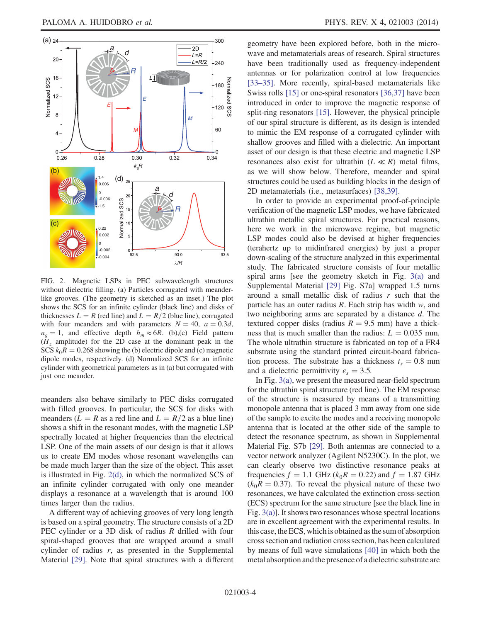<span id="page-3-0"></span>

FIG. 2. Magnetic LSPs in PEC subwavelength structures without dielectric filling. (a) Particles corrugated with meanderlike grooves. (The geometry is sketched as an inset.) The plot shows the SCS for an infinite cylinder (black line) and disks of thicknesses  $L = R$  (red line) and  $L = R/2$  (blue line), corrugated with four meanders and with parameters  $N = 40$ ,  $a = 0.3d$ ,  $n_a = 1$ , and effective depth  $h_m \approx 6R$ . (b),(c) Field pattern  $(H<sub>z</sub>$  amplitude) for the 2D case at the dominant peak in the SCS  $k_0R = 0.268$  showing the (b) electric dipole and (c) magnetic dipole modes, respectively. (d) Normalized SCS for an infinite cylinder with geometrical parameters as in (a) but corrugated with just one meander.

meanders also behave similarly to PEC disks corrugated with filled grooves. In particular, the SCS for disks with meanders ( $L = R$  as a red line and  $L = R/2$  as a blue line) shows a shift in the resonant modes, with the magnetic LSP spectrally located at higher frequencies than the electrical LSP. One of the main assets of our design is that it allows us to create EM modes whose resonant wavelengths can be made much larger than the size of the object. This asset is illustrated in Fig. [2\(d\),](#page-3-0) in which the normalized SCS of an infinite cylinder corrugated with only one meander displays a resonance at a wavelength that is around 100 times larger than the radius.

A different way of achieving grooves of very long length is based on a spiral geometry. The structure consists of a 2D PEC cylinder or a 3D disk of radius R drilled with four spiral-shaped grooves that are wrapped around a small cylinder of radius  $r$ , as presented in the Supplemental Material [\[29\]](#page-5-12). Note that spiral structures with a different geometry have been explored before, both in the microwave and metamaterials areas of research. Spiral structures have been traditionally used as frequency-independent antennas or for polarization control at low frequencies [\[33](#page-5-15)–35]. More recently, spiral-based metamaterials like Swiss rolls [\[15\]](#page-5-5) or one-spiral resonators [\[36,37\]](#page-6-0) have been introduced in order to improve the magnetic response of split-ring resonators [\[15\].](#page-5-5) However, the physical principle of our spiral structure is different, as its design is intended to mimic the EM response of a corrugated cylinder with shallow grooves and filled with a dielectric. An important asset of our design is that these electric and magnetic LSP resonances also exist for ultrathin  $(L \ll R)$  metal films, as we will show below. Therefore, meander and spiral structures could be used as building blocks in the design of 2D metamaterials (i.e., metasurfaces) [\[38,39\].](#page-6-1)

In order to provide an experimental proof-of-principle verification of the magnetic LSP modes, we have fabricated ultrathin metallic spiral structures. For practical reasons, here we work in the microwave regime, but magnetic LSP modes could also be devised at higher frequencies (terahertz up to midinfrared energies) by just a proper down-scaling of the structure analyzed in this experimental study. The fabricated structure consists of four metallic spiral arms [see the geometry sketch in Fig. [3\(a\)](#page-4-0) and Supplemental Material [\[29\]](#page-5-12) Fig. S7a] wrapped 1.5 turns around a small metallic disk of radius  $r$  such that the particle has an outer radius  $R$ . Each strip has width  $w$ , and two neighboring arms are separated by a distance d. The textured copper disks (radius  $R = 9.5$  mm) have a thickness that is much smaller than the radius:  $L = 0.035$  mm. The whole ultrathin structure is fabricated on top of a FR4 substrate using the standard printed circuit-board fabrication process. The substrate has a thickness  $t_s = 0.8$  mm and a dielectric permittivity  $\epsilon_s = 3.5$ .

In Fig. [3\(a\),](#page-4-0) we present the measured near-field spectrum for the ultrathin spiral structure (red line). The EM response of the structure is measured by means of a transmitting monopole antenna that is placed 3 mm away from one side of the sample to excite the modes and a receiving monopole antenna that is located at the other side of the sample to detect the resonance spectrum, as shown in Supplemental Material Fig. S7b [\[29\]](#page-5-12). Both antennas are connected to a vector network analyzer (Agilent N5230C). In the plot, we can clearly observe two distinctive resonance peaks at frequencies  $f = 1.1$  GHz ( $k_0R = 0.22$ ) and  $f = 1.87$  GHz  $(k_0R = 0.37)$ . To reveal the physical nature of these two resonances, we have calculated the extinction cross-section (ECS) spectrum for the same structure [see the black line in Fig. [3\(a\)](#page-4-0)]. It shows two resonances whose spectral locations are in excellent agreement with the experimental results. In this case, the ECS, whichis obtained as the sum of absorption cross section and radiation cross section, has been calculated by means of full wave simulations [\[40\]](#page-6-2) in which both the metal absorption and the presence of a dielectric substrate are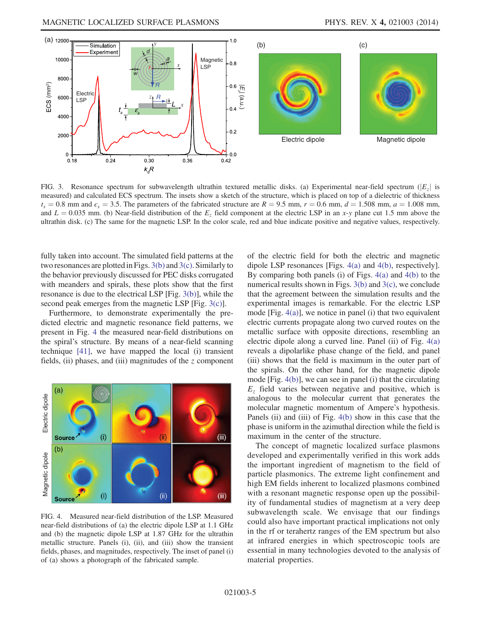<span id="page-4-0"></span>

FIG. 3. Resonance spectrum for subwavelength ultrathin textured metallic disks. (a) Experimental near-field spectrum ( $|E_z|$ ) is measured) and calculated ECS spectrum. The insets show a sketch of the structure, which is placed on top of a dielectric of thickness  $t_s = 0.8$  mm and  $\epsilon_s = 3.5$ . The parameters of the fabricated structure are  $R = 9.5$  mm,  $r = 0.6$  mm,  $d = 1.508$  mm,  $a = 1.008$  mm, and  $L = 0.035$  mm. (b) Near-field distribution of the  $E<sub>z</sub>$  field component at the electric LSP in an x-y plane cut 1.5 mm above the ultrathin disk. (c) The same for the magnetic LSP. In the color scale, red and blue indicate positive and negative values, respectively.

fully taken into account. The simulated field patterns at the two resonances are plotted in Figs. [3\(b\)](#page-4-0) and [3\(c\).](#page-4-0) Similarly to the behavior previously discussed for PEC disks corrugated with meanders and spirals, these plots show that the first resonance is due to the electrical LSP [Fig. [3\(b\)](#page-4-0)], while the second peak emerges from the magnetic LSP [Fig. [3\(c\)\]](#page-4-0).

Furthermore, to demonstrate experimentally the predicted electric and magnetic resonance field patterns, we present in Fig. [4](#page-4-1) the measured near-field distributions on the spiral's structure. By means of a near-field scanning technique [\[41\],](#page-6-3) we have mapped the local (i) transient fields, (ii) phases, and (iii) magnitudes of the  $z$  component

<span id="page-4-1"></span>

FIG. 4. Measured near-field distribution of the LSP. Measured near-field distributions of (a) the electric dipole LSP at 1.1 GHz and (b) the magnetic dipole LSP at 1.87 GHz for the ultrathin metallic structure. Panels (i), (ii), and (iii) show the transient fields, phases, and magnitudes, respectively. The inset of panel (i) of (a) shows a photograph of the fabricated sample.

of the electric field for both the electric and magnetic dipole LSP resonances [Figs. [4\(a\)](#page-4-1) and [4\(b\)](#page-4-1), respectively]. By comparing both panels (i) of Figs. [4\(a\)](#page-4-1) and [4\(b\)](#page-4-1) to the numerical results shown in Figs.  $3(b)$  and  $3(c)$ , we conclude that the agreement between the simulation results and the experimental images is remarkable. For the electric LSP mode [Fig. [4\(a\)](#page-4-1)], we notice in panel (i) that two equivalent electric currents propagate along two curved routes on the metallic surface with opposite directions, resembling an electric dipole along a curved line. Panel (ii) of Fig. [4\(a\)](#page-4-1) reveals a dipolarlike phase change of the field, and panel (iii) shows that the field is maximum in the outer part of the spirals. On the other hand, for the magnetic dipole mode [Fig. [4\(b\)](#page-4-1)], we can see in panel (i) that the circulating  $E<sub>z</sub>$  field varies between negative and positive, which is analogous to the molecular current that generates the molecular magnetic momentum of Ampere's hypothesis. Panels (ii) and (iii) of Fig. [4\(b\)](#page-4-1) show in this case that the phase is uniform in the azimuthal direction while the field is maximum in the center of the structure.

The concept of magnetic localized surface plasmons developed and experimentally verified in this work adds the important ingredient of magnetism to the field of particle plasmonics. The extreme light confinement and high EM fields inherent to localized plasmons combined with a resonant magnetic response open up the possibility of fundamental studies of magnetism at a very deep subwavelength scale. We envisage that our findings could also have important practical implications not only in the rf or terahertz ranges of the EM spectrum but also at infrared energies in which spectroscopic tools are essential in many technologies devoted to the analysis of material properties.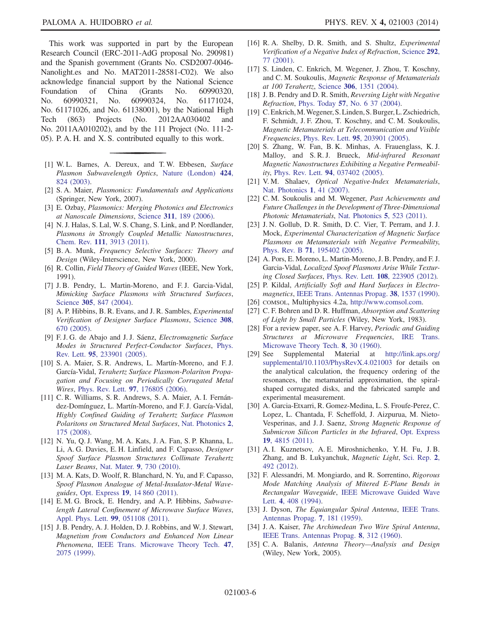This work was supported in part by the European Research Council (ERC-2011-AdG proposal No. 290981) and the Spanish government (Grants No. CSD2007-0046- Nanolight.es and No. MAT2011-28581-C02). We also acknowledge financial support by the National Science Foundation of China (Grants No. 60990320, No. 60990321, No. 60990324, No. 61171024, No. 61171026, and No. 61138001), by the National High Tech (863) Projects (No. 2012AA030402 and No. 2011AA010202), and by the 111 Project (No. 111-2- 05). P. A. H. and X. S. contributed equally to this work.

- <span id="page-5-0"></span>[1] W. L. Barnes, A. Dereux, and T. W. Ebbesen, Surface Plasmon Subwavelength Optics, [Nature \(London\)](http://dx.doi.org/10.1038/nature01937) 424, [824 \(2003\)](http://dx.doi.org/10.1038/nature01937).
- [2] S. A. Maier, *Plasmonics: Fundamentals and Applications* (Springer, New York, 2007).
- <span id="page-5-1"></span>[3] E. Ozbay, Plasmonics: Merging Photonics and Electronics at Nanoscale Dimensions, Science 311[, 189 \(2006\)](http://dx.doi.org/10.1126/science.1114849).
- [4] N. J. Halas, S. Lal, W. S. Chang, S. Link, and P. Nordlander, Plasmons in Strongly Coupled Metallic Nanostructures, Chem. Rev. 111[, 3913 \(2011\).](http://dx.doi.org/10.1021/cr200061k)
- <span id="page-5-2"></span>[5] B.A. Munk, Frequency Selective Surfaces: Theory and Design (Wiley-Interscience, New York, 2000).
- <span id="page-5-3"></span>[6] R. Collin, Field Theory of Guided Waves (IEEE, New York, 1991).
- [7] J. B. Pendry, L. Martin-Moreno, and F. J. Garcia-Vidal, Mimicking Surface Plasmons with Structured Surfaces, Science 305[, 847 \(2004\)](http://dx.doi.org/10.1126/science.1098999).
- <span id="page-5-4"></span>[8] A. P. Hibbins, B. R. Evans, and J. R. Sambles, Experimental Verification of Designer Surface Plasmons, [Science](http://dx.doi.org/10.1126/science.1109043) 308, [670 \(2005\)](http://dx.doi.org/10.1126/science.1109043).
- [9] F. J. G. de Abajo and J. J. Sáenz, Electromagnetic Surface Modes in Structured Perfect-Conductor Surfaces, [Phys.](http://dx.doi.org/10.1103/PhysRevLett.95.233901) Rev. Lett. 95[, 233901 \(2005\).](http://dx.doi.org/10.1103/PhysRevLett.95.233901)
- [10] S. A. Maier, S. R. Andrews, L. Martín-Moreno, and F. J. García-Vidal, Terahertz Surface Plasmon-Polariton Propagation and Focusing on Periodically Corrugated Metal Wires, Phys. Rev. Lett. 97[, 176805 \(2006\).](http://dx.doi.org/10.1103/PhysRevLett.97.176805)
- [11] C. R. Williams, S. R. Andrews, S. A. Maier, A. I. Fernández-Domínguez, L. Martín-Moreno, and F. J. García-Vidal, Highly Confined Guiding of Terahertz Surface Plasmon Polaritons on Structured Metal Surfaces, [Nat. Photonics](http://dx.doi.org/10.1038/nphoton.2007.301) 2, [175 \(2008\)](http://dx.doi.org/10.1038/nphoton.2007.301).
- [12] N. Yu, Q. J. Wang, M. A. Kats, J. A. Fan, S. P. Khanna, L. Li, A. G. Davies, E. H. Linfield, and F. Capasso, Designer Spoof Surface Plasmon Structures Collimate Terahertz Laser Beams, Nat. Mater. 9[, 730 \(2010\).](http://dx.doi.org/10.1038/nmat2822)
- [13] M. A. Kats, D. Woolf, R. Blanchard, N. Yu, and F. Capasso, Spoof Plasmon Analogue of Metal-Insulator-Metal Waveguides, Opt. Express 19[, 14 860 \(2011\).](http://dx.doi.org/10.1364/OE.19.014860)
- [14] E. M. G. Brock, E. Hendry, and A. P. Hibbins, Subwavelength Lateral Confinement of Microwave Surface Waves, [Appl. Phys. Lett.](http://dx.doi.org/10.1063/1.3622646) 99, 051108 (2011).
- <span id="page-5-5"></span>[15] J. B. Pendry, A. J. Holden, D. J. Robbins, and W. J. Stewart, Magnetism from Conductors and Enhanced Non Linear Phenomena, [IEEE Trans. Microwave Theory Tech.](http://dx.doi.org/10.1109/22.798002) 47, [2075 \(1999\)](http://dx.doi.org/10.1109/22.798002).
- [16] R. A. Shelby, D. R. Smith, and S. Shultz, *Experimental* Verification of a Negative Index of Refraction, [Science](http://dx.doi.org/10.1126/science.1058847) 292, [77 \(2001\).](http://dx.doi.org/10.1126/science.1058847)
- [17] S. Linden, C. Enkrich, M. Wegener, J. Zhou, T. Koschny, and C. M. Soukoulis, Magnetic Response of Metamaterials at 100 Terahertz, Science 306[, 1351 \(2004\)](http://dx.doi.org/10.1126/science.1105371).
- [18] J. B. Pendry and D. R. Smith, Reversing Light with Negative Refraction, Phys. Today 57[, No. 6 37 \(2004\).](http://dx.doi.org/10.1063/1.1784272)
- [19] C. Enkrich, M. Wegener, S. Linden, S. Burger, L. Zschiedrich, F. Schmidt, J. F. Zhou, T. Koschny, and C. M. Soukoulis, Magnetic Metamaterials at Telecommunication and Visible Frequencies, Phys. Rev. Lett. 95[, 203901 \(2005\).](http://dx.doi.org/10.1103/PhysRevLett.95.203901)
- [20] S. Zhang, W. Fan, B. K. Minhas, A. Frauenglass, K. J. Malloy, and S. R. J. Brueck, Mid-infrared Resonant Magnetic Nanostructures Exhibiting a Negative Permeability, Phys. Rev. Lett. **94**[, 037402 \(2005\)](http://dx.doi.org/10.1103/PhysRevLett.94.037402).
- [21] V. M. Shalaev, Optical Negative-Index Metamaterials, [Nat. Photonics](http://dx.doi.org/10.1038/nphoton.2006.49) 1, 41 (2007).
- [22] C. M. Soukoulis and M. Wegener, Past Achievements and Future Challenges in the Development of Three-Dimensional Photonic Metamaterials, [Nat. Photonics](http://dx.doi.org/10.1038/nphoton.2011.154) 5, 523 (2011).
- <span id="page-5-6"></span>[23] J. N. Gollub, D. R. Smith, D. C. Vier, T. Perram, and J. J. Mock, Experimental Characterization of Magnetic Surface Plasmons on Metamaterials with Negative Permeability, Phys. Rev. B 71[, 195402 \(2005\).](http://dx.doi.org/10.1103/PhysRevB.71.195402)
- <span id="page-5-7"></span>[24] A. Pors, E. Moreno, L. Martin-Moreno, J. B. Pendry, and F. J. Garcia-Vidal, Localized Spoof Plasmons Arise While Texturing Closed Surfaces, Phys. Rev. Lett. 108[, 223905 \(2012\)](http://dx.doi.org/10.1103/PhysRevLett.108.223905).
- <span id="page-5-8"></span>[25] P. Kildal, Artificially Soft and Hard Surfaces in Electro-magnetics, [IEEE Trans. Antennas Propag.](http://dx.doi.org/10.1109/8.59765) 38, 1537 (1990).
- <span id="page-5-9"></span>[26] COMSOL, Multiphysics 4.2a, [http://www.comsol.com.](http://www.comsol.com)
- <span id="page-5-10"></span>[27] C. F. Bohren and D. R. Huffman, Absorption and Scattering of Light by Small Particles (Wiley, New York, 1983).
- <span id="page-5-11"></span>[28] For a review paper, see A. F. Harvey, Periodic and Guiding Structures at Microwave Frequencies, [IRE Trans.](http://dx.doi.org/10.1109/TMTT.1960.1124658) [Microwave Theory Tech.](http://dx.doi.org/10.1109/TMTT.1960.1124658) 8, 30 (1960).
- <span id="page-5-12"></span>[29] See Supplemental Material at [http://link.aps.org/](http://link.aps.org/supplemental/10.1103/PhysRevX.4.021003) [supplemental/10.1103/PhysRevX.4.021003](http://link.aps.org/supplemental/10.1103/PhysRevX.4.021003) for details on the analytical calculation, the frequency ordering of the resonances, the metamaterial approximation, the spiralshaped corrugated disks, and the fabricated sample and experimental measurement.
- <span id="page-5-13"></span>[30] A. Garcia-Etxarri, R. Gomez-Medina, L. S. Froufe-Perez, C. Lopez, L. Chantada, F. Scheffold, J. Aizpurua, M. Nieto-Vesperinas, and J. J. Saenz, Strong Magnetic Response of Submicron Silicon Particles in the Infrared, [Opt. Express](http://dx.doi.org/10.1364/OE.19.004815) 19[, 4815 \(2011\)](http://dx.doi.org/10.1364/OE.19.004815).
- [31] A. I. Kuznetsov, A. E. Miroshnichenko, Y. H. Fu, J. B. Zhang, and B. Lukyanchuk, Magnetic Light, [Sci. Rep.](http://dx.doi.org/10.1038/srep00492) 2, [492 \(2012\)](http://dx.doi.org/10.1038/srep00492).
- <span id="page-5-14"></span>[32] F. Alessandri, M. Mongiardo, and R. Sorrentino, Rigorous Mode Matching Analysis of Mitered E-Plane Bends in Rectangular Waveguide, [IEEE Microwave Guided Wave](http://dx.doi.org/10.1109/75.336229) Lett. 4[, 408 \(1994\).](http://dx.doi.org/10.1109/75.336229)
- <span id="page-5-15"></span>[33] J. Dyson, The Equiangular Spiral Antenna, [IEEE Trans.](http://dx.doi.org/10.1109/TAP.1959.1144653) [Antennas Propag.](http://dx.doi.org/10.1109/TAP.1959.1144653) 7, 181 (1959).
- [34] J. A. Kaiser, The Archimedean Two Wire Spiral Antenna, [IEEE Trans. Antennas Propag.](http://dx.doi.org/10.1109/TAP.1960.1144840) 8, 312 (1960).
- [35] C. A. Balanis, Antenna Theory-Analysis and Design (Wiley, New York, 2005).